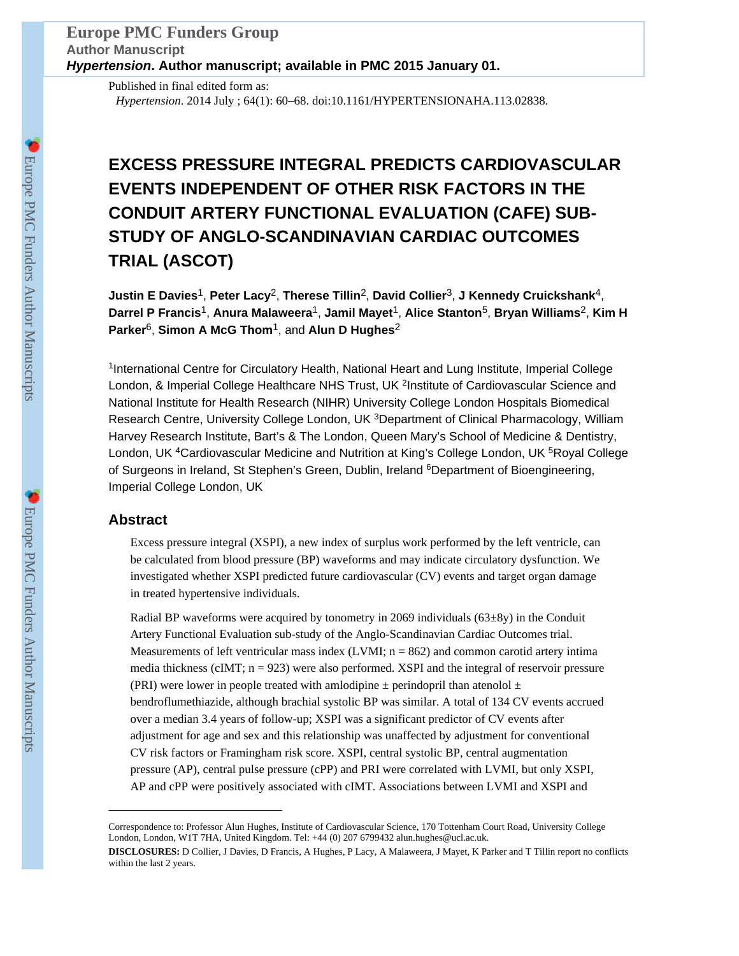Published in final edited form as: *Hypertension*. 2014 July ; 64(1): 60–68. doi:10.1161/HYPERTENSIONAHA.113.02838.

# **EXCESS PRESSURE INTEGRAL PREDICTS CARDIOVASCULAR EVENTS INDEPENDENT OF OTHER RISK FACTORS IN THE CONDUIT ARTERY FUNCTIONAL EVALUATION (CAFE) SUB-STUDY OF ANGLO-SCANDINAVIAN CARDIAC OUTCOMES TRIAL (ASCOT)**

**Justin E Davies**1, **Peter Lacy**2, **Therese Tillin**2, **David Collier**3, **J Kennedy Cruickshank**4, **Darrel P Francis**1, **Anura Malaweera**1, **Jamil Mayet**1, **Alice Stanton**5, **Bryan Williams**2, **Kim H Parker**6, **Simon A McG Thom**1, and **Alun D Hughes**<sup>2</sup>

<sup>1</sup>International Centre for Circulatory Health, National Heart and Lung Institute, Imperial College London, & Imperial College Healthcare NHS Trust, UK <sup>2</sup>Institute of Cardiovascular Science and National Institute for Health Research (NIHR) University College London Hospitals Biomedical Research Centre, University College London, UK <sup>3</sup>Department of Clinical Pharmacology, William Harvey Research Institute, Bart's & The London, Queen Mary's School of Medicine & Dentistry, London, UK <sup>4</sup>Cardiovascular Medicine and Nutrition at King's College London, UK <sup>5</sup>Royal College of Surgeons in Ireland, St Stephen's Green, Dublin, Ireland <sup>6</sup>Department of Bioengineering, Imperial College London, UK

# **Abstract**

Excess pressure integral (XSPI), a new index of surplus work performed by the left ventricle, can be calculated from blood pressure (BP) waveforms and may indicate circulatory dysfunction. We investigated whether XSPI predicted future cardiovascular (CV) events and target organ damage in treated hypertensive individuals.

Radial BP waveforms were acquired by tonometry in 2069 individuals  $(63\pm8y)$  in the Conduit Artery Functional Evaluation sub-study of the Anglo-Scandinavian Cardiac Outcomes trial. Measurements of left ventricular mass index  $(LVMI; n = 862)$  and common carotid artery intima media thickness (cIMT;  $n = 923$ ) were also performed. XSPI and the integral of reservoir pressure (PRI) were lower in people treated with amlodipine  $\pm$  perindopril than atenolol  $\pm$ bendroflumethiazide, although brachial systolic BP was similar. A total of 134 CV events accrued over a median 3.4 years of follow-up; XSPI was a significant predictor of CV events after adjustment for age and sex and this relationship was unaffected by adjustment for conventional CV risk factors or Framingham risk score. XSPI, central systolic BP, central augmentation pressure (AP), central pulse pressure (cPP) and PRI were correlated with LVMI, but only XSPI, AP and cPP were positively associated with cIMT. Associations between LVMI and XSPI and

Correspondence to: Professor Alun Hughes, Institute of Cardiovascular Science, 170 Tottenham Court Road, University College London, London, W1T 7HA, United Kingdom. Tel: +44 (0) 207 6799432 alun.hughes@ucl.ac.uk.

**DISCLOSURES:** D Collier, J Davies, D Francis, A Hughes, P Lacy, A Malaweera, J Mayet, K Parker and T Tillin report no conflicts within the last 2 years.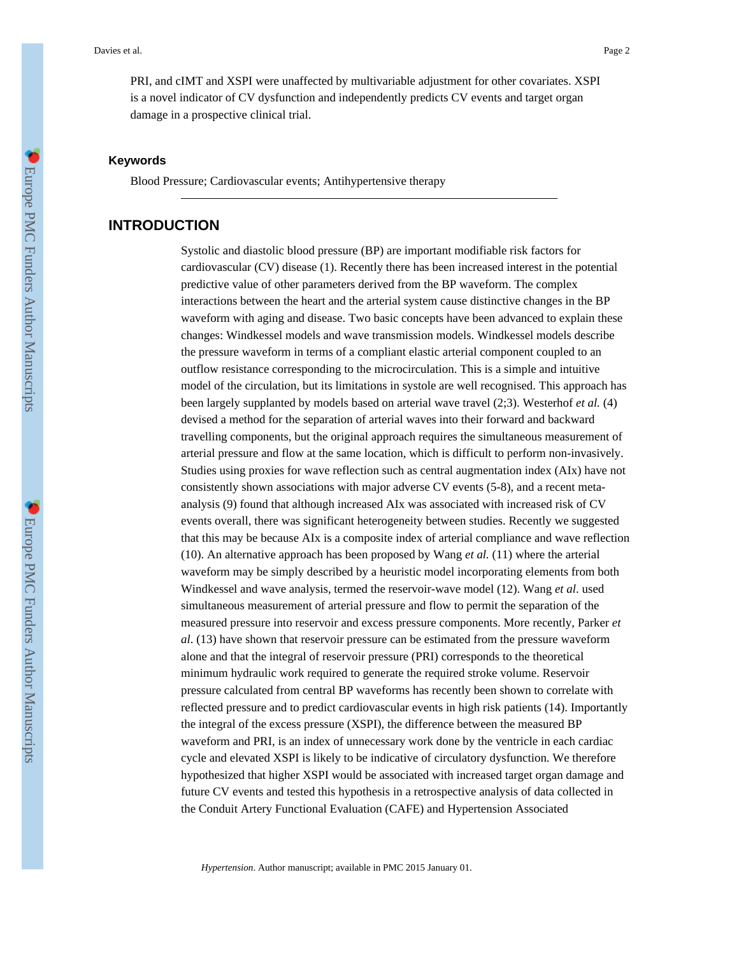PRI, and cIMT and XSPI were unaffected by multivariable adjustment for other covariates. XSPI is a novel indicator of CV dysfunction and independently predicts CV events and target organ damage in a prospective clinical trial.

#### **Keywords**

Blood Pressure; Cardiovascular events; Antihypertensive therapy

# **INTRODUCTION**

Systolic and diastolic blood pressure (BP) are important modifiable risk factors for cardiovascular (CV) disease (1). Recently there has been increased interest in the potential predictive value of other parameters derived from the BP waveform. The complex interactions between the heart and the arterial system cause distinctive changes in the BP waveform with aging and disease. Two basic concepts have been advanced to explain these changes: Windkessel models and wave transmission models. Windkessel models describe the pressure waveform in terms of a compliant elastic arterial component coupled to an outflow resistance corresponding to the microcirculation. This is a simple and intuitive model of the circulation, but its limitations in systole are well recognised. This approach has been largely supplanted by models based on arterial wave travel (2;3). Westerhof *et al.* (4) devised a method for the separation of arterial waves into their forward and backward travelling components, but the original approach requires the simultaneous measurement of arterial pressure and flow at the same location, which is difficult to perform non-invasively. Studies using proxies for wave reflection such as central augmentation index (AIx) have not consistently shown associations with major adverse CV events (5-8), and a recent metaanalysis (9) found that although increased AIx was associated with increased risk of CV events overall, there was significant heterogeneity between studies. Recently we suggested that this may be because AIx is a composite index of arterial compliance and wave reflection (10). An alternative approach has been proposed by Wang *et al.* (11) where the arterial waveform may be simply described by a heuristic model incorporating elements from both Windkessel and wave analysis, termed the reservoir-wave model (12). Wang *et al*. used simultaneous measurement of arterial pressure and flow to permit the separation of the measured pressure into reservoir and excess pressure components. More recently, Parker *et al*. (13) have shown that reservoir pressure can be estimated from the pressure waveform alone and that the integral of reservoir pressure (PRI) corresponds to the theoretical minimum hydraulic work required to generate the required stroke volume. Reservoir pressure calculated from central BP waveforms has recently been shown to correlate with reflected pressure and to predict cardiovascular events in high risk patients (14). Importantly the integral of the excess pressure (XSPI), the difference between the measured BP waveform and PRI, is an index of unnecessary work done by the ventricle in each cardiac cycle and elevated XSPI is likely to be indicative of circulatory dysfunction. We therefore hypothesized that higher XSPI would be associated with increased target organ damage and future CV events and tested this hypothesis in a retrospective analysis of data collected in the Conduit Artery Functional Evaluation (CAFE) and Hypertension Associated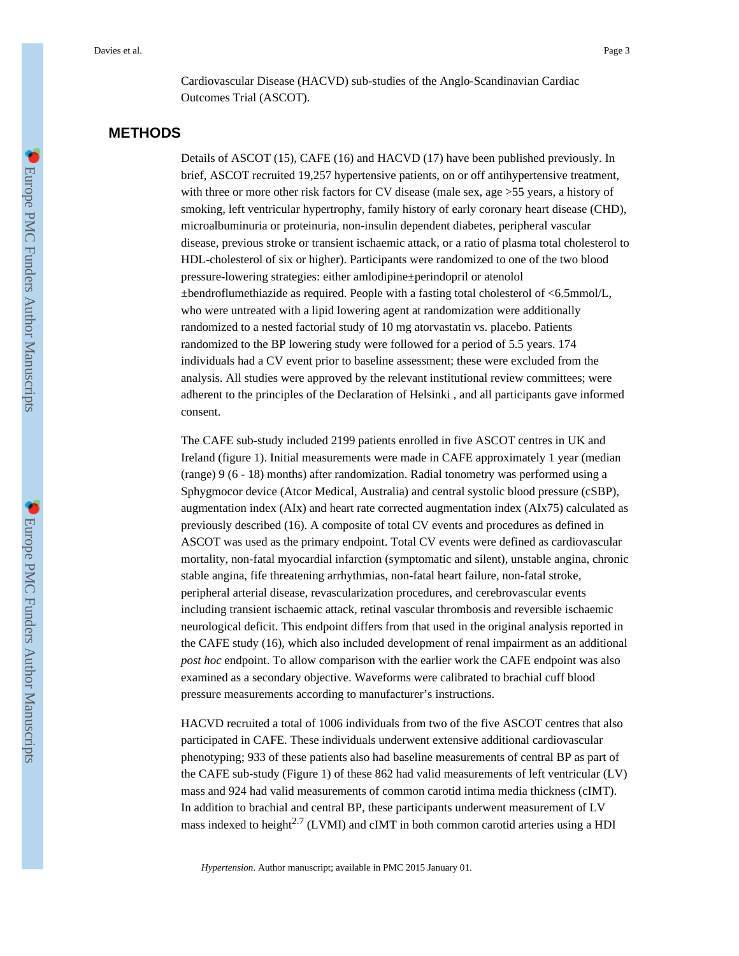Cardiovascular Disease (HACVD) sub-studies of the Anglo-Scandinavian Cardiac Outcomes Trial (ASCOT).

# **METHODS**

Details of ASCOT (15), CAFE (16) and HACVD (17) have been published previously. In brief, ASCOT recruited 19,257 hypertensive patients, on or off antihypertensive treatment, with three or more other risk factors for CV disease (male sex, age >55 years, a history of smoking, left ventricular hypertrophy, family history of early coronary heart disease (CHD), microalbuminuria or proteinuria, non-insulin dependent diabetes, peripheral vascular disease, previous stroke or transient ischaemic attack, or a ratio of plasma total cholesterol to HDL-cholesterol of six or higher). Participants were randomized to one of the two blood pressure-lowering strategies: either amlodipine±perindopril or atenolol ±bendroflumethiazide as required. People with a fasting total cholesterol of <6.5mmol/L, who were untreated with a lipid lowering agent at randomization were additionally randomized to a nested factorial study of 10 mg atorvastatin vs. placebo. Patients randomized to the BP lowering study were followed for a period of 5.5 years. 174 individuals had a CV event prior to baseline assessment; these were excluded from the analysis. All studies were approved by the relevant institutional review committees; were adherent to the principles of the Declaration of Helsinki , and all participants gave informed consent.

The CAFE sub-study included 2199 patients enrolled in five ASCOT centres in UK and Ireland (figure 1). Initial measurements were made in CAFE approximately 1 year (median (range) 9 (6 - 18) months) after randomization. Radial tonometry was performed using a Sphygmocor device (Atcor Medical, Australia) and central systolic blood pressure (cSBP), augmentation index (AIx) and heart rate corrected augmentation index (AIx75) calculated as previously described (16). A composite of total CV events and procedures as defined in ASCOT was used as the primary endpoint. Total CV events were defined as cardiovascular mortality, non-fatal myocardial infarction (symptomatic and silent), unstable angina, chronic stable angina, fife threatening arrhythmias, non-fatal heart failure, non-fatal stroke, peripheral arterial disease, revascularization procedures, and cerebrovascular events including transient ischaemic attack, retinal vascular thrombosis and reversible ischaemic neurological deficit. This endpoint differs from that used in the original analysis reported in the CAFE study (16), which also included development of renal impairment as an additional *post hoc* endpoint. To allow comparison with the earlier work the CAFE endpoint was also examined as a secondary objective. Waveforms were calibrated to brachial cuff blood pressure measurements according to manufacturer's instructions.

HACVD recruited a total of 1006 individuals from two of the five ASCOT centres that also participated in CAFE. These individuals underwent extensive additional cardiovascular phenotyping; 933 of these patients also had baseline measurements of central BP as part of the CAFE sub-study (Figure 1) of these 862 had valid measurements of left ventricular (LV) mass and 924 had valid measurements of common carotid intima media thickness (cIMT). In addition to brachial and central BP, these participants underwent measurement of LV mass indexed to height<sup>2.7</sup> (LVMI) and cIMT in both common carotid arteries using a HDI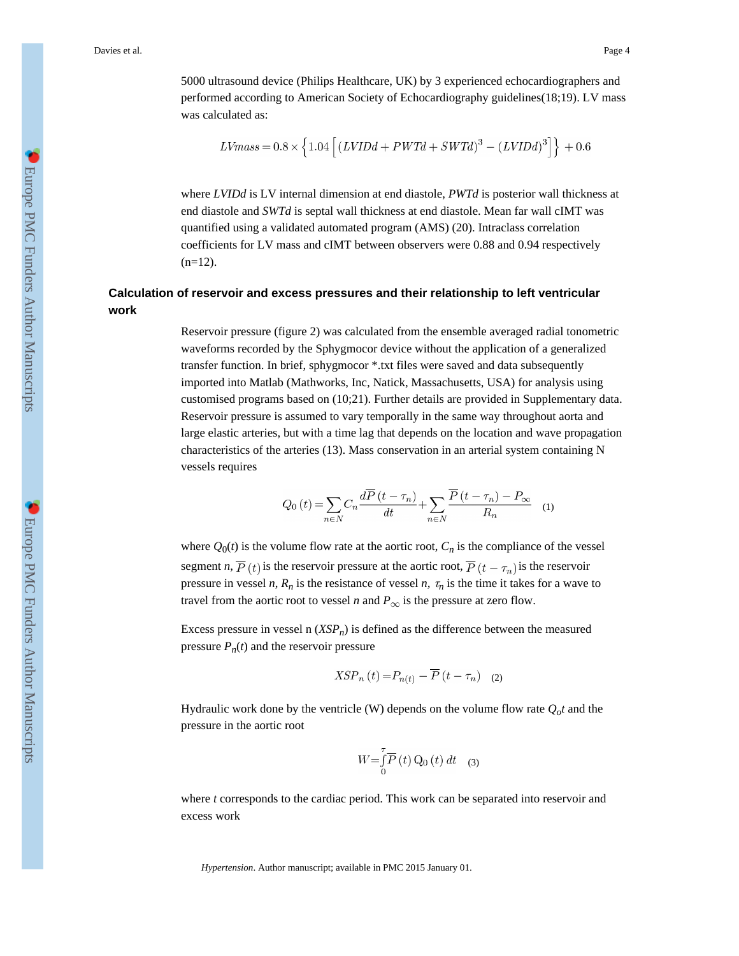Davies et al. Page 4

5000 ultrasound device (Philips Healthcare, UK) by 3 experienced echocardiographers and performed according to American Society of Echocardiography guidelines(18;19). LV mass was calculated as:

$$
LV mass = 0.8 \times \left\{ 1.04 \left[ \left( LVIDd + PWTd + SWTd \right)^3 - \left( LVIDd \right)^3 \right] \right\} + 0.6
$$

where *LVIDd* is LV internal dimension at end diastole, *PWTd* is posterior wall thickness at end diastole and *SWTd* is septal wall thickness at end diastole. Mean far wall cIMT was quantified using a validated automated program (AMS) (20). Intraclass correlation coefficients for LV mass and cIMT between observers were 0.88 and 0.94 respectively  $(n=12)$ .

# **Calculation of reservoir and excess pressures and their relationship to left ventricular work**

Reservoir pressure (figure 2) was calculated from the ensemble averaged radial tonometric waveforms recorded by the Sphygmocor device without the application of a generalized transfer function. In brief, sphygmocor \*.txt files were saved and data subsequently imported into Matlab (Mathworks, Inc, Natick, Massachusetts, USA) for analysis using customised programs based on (10;21). Further details are provided in Supplementary data. Reservoir pressure is assumed to vary temporally in the same way throughout aorta and large elastic arteries, but with a time lag that depends on the location and wave propagation characteristics of the arteries (13). Mass conservation in an arterial system containing N vessels requires

$$
Q_0(t) = \sum_{n \in N} C_n \frac{d\overline{P}(t - \tau_n)}{dt} + \sum_{n \in N} \frac{\overline{P}(t - \tau_n) - P_{\infty}}{R_n} \tag{1}
$$

where  $Q_0(t)$  is the volume flow rate at the aortic root,  $C_n$  is the compliance of the vessel segment *n*,  $\overline{P}(t)$  is the reservoir pressure at the aortic root,  $\overline{P}(t - \tau_n)$  is the reservoir pressure in vessel *n*,  $R_n$  is the resistance of vessel *n*,  $\tau_n$  is the time it takes for a wave to travel from the aortic root to vessel *n* and  $P_{\infty}$  is the pressure at zero flow.

Excess pressure in vessel n  $(XSP_n)$  is defined as the difference between the measured pressure  $P_n(t)$  and the reservoir pressure

$$
XSP_n(t) = P_{n(t)} - \overline{P}(t - \tau_n) \quad (2)
$$

Hydraulic work done by the ventricle (W) depends on the volume flow rate  $Q_0 t$  and the pressure in the aortic root

$$
W = \int_{0}^{T} \overline{P}(t) Q_0(t) dt
$$
 (3)

where *t* corresponds to the cardiac period. This work can be separated into reservoir and excess work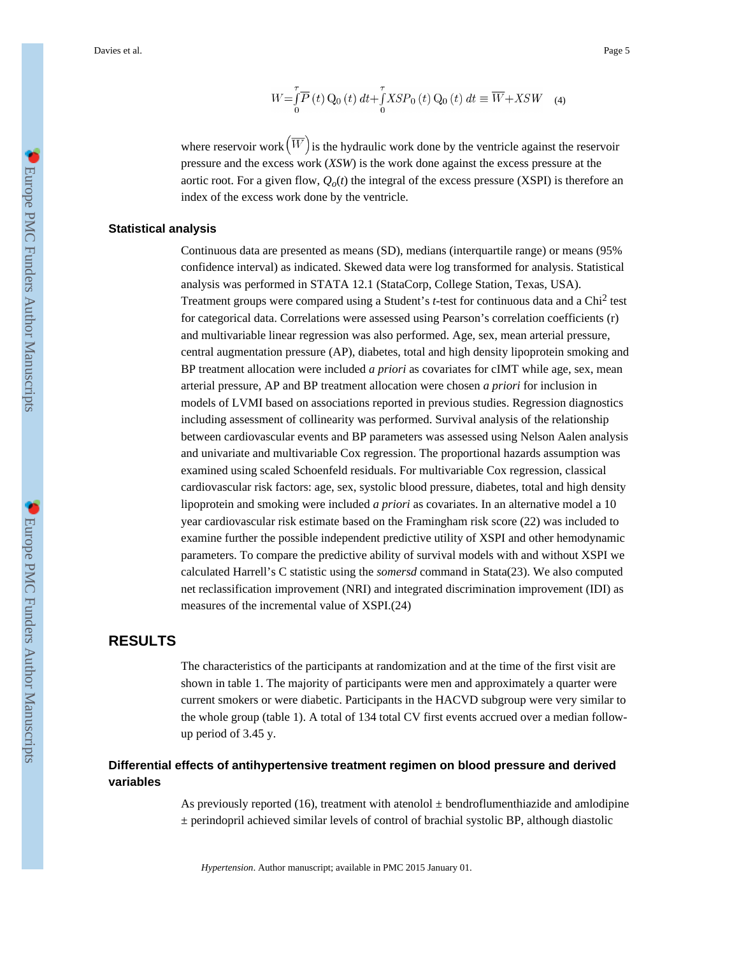$$
W = \int_{0}^{T} \overline{P}(t) Q_0(t) dt + \int_{0}^{T} XSP_0(t) Q_0(t) dt \equiv \overline{W} + XSW \quad (4)
$$

where reservoir work  $(\overline{W})$  is the hydraulic work done by the ventricle against the reservoir pressure and the excess work (*XSW*) is the work done against the excess pressure at the aortic root. For a given flow,  $Q_o(t)$  the integral of the excess pressure (XSPI) is therefore an index of the excess work done by the ventricle.

#### **Statistical analysis**

Continuous data are presented as means (SD), medians (interquartile range) or means (95% confidence interval) as indicated. Skewed data were log transformed for analysis. Statistical analysis was performed in STATA 12.1 (StataCorp, College Station, Texas, USA). Treatment groups were compared using a Student's *t*-test for continuous data and a Chi<sup>2</sup> test for categorical data. Correlations were assessed using Pearson's correlation coefficients (r) and multivariable linear regression was also performed. Age, sex, mean arterial pressure, central augmentation pressure (AP), diabetes, total and high density lipoprotein smoking and BP treatment allocation were included *a priori* as covariates for cIMT while age, sex, mean arterial pressure, AP and BP treatment allocation were chosen *a priori* for inclusion in models of LVMI based on associations reported in previous studies. Regression diagnostics including assessment of collinearity was performed. Survival analysis of the relationship between cardiovascular events and BP parameters was assessed using Nelson Aalen analysis and univariate and multivariable Cox regression. The proportional hazards assumption was examined using scaled Schoenfeld residuals. For multivariable Cox regression, classical cardiovascular risk factors: age, sex, systolic blood pressure, diabetes, total and high density lipoprotein and smoking were included *a priori* as covariates. In an alternative model a 10 year cardiovascular risk estimate based on the Framingham risk score (22) was included to examine further the possible independent predictive utility of XSPI and other hemodynamic parameters. To compare the predictive ability of survival models with and without XSPI we calculated Harrell's C statistic using the *somersd* command in Stata(23). We also computed net reclassification improvement (NRI) and integrated discrimination improvement (IDI) as measures of the incremental value of XSPI.(24)

# **RESULTS**

The characteristics of the participants at randomization and at the time of the first visit are shown in table 1. The majority of participants were men and approximately a quarter were current smokers or were diabetic. Participants in the HACVD subgroup were very similar to the whole group (table 1). A total of 134 total CV first events accrued over a median followup period of 3.45 y.

# **Differential effects of antihypertensive treatment regimen on blood pressure and derived variables**

As previously reported (16), treatment with atenolol  $\pm$  bendroflumenthiazide and amlodipine  $\pm$  perindopril achieved similar levels of control of brachial systolic BP, although diastolic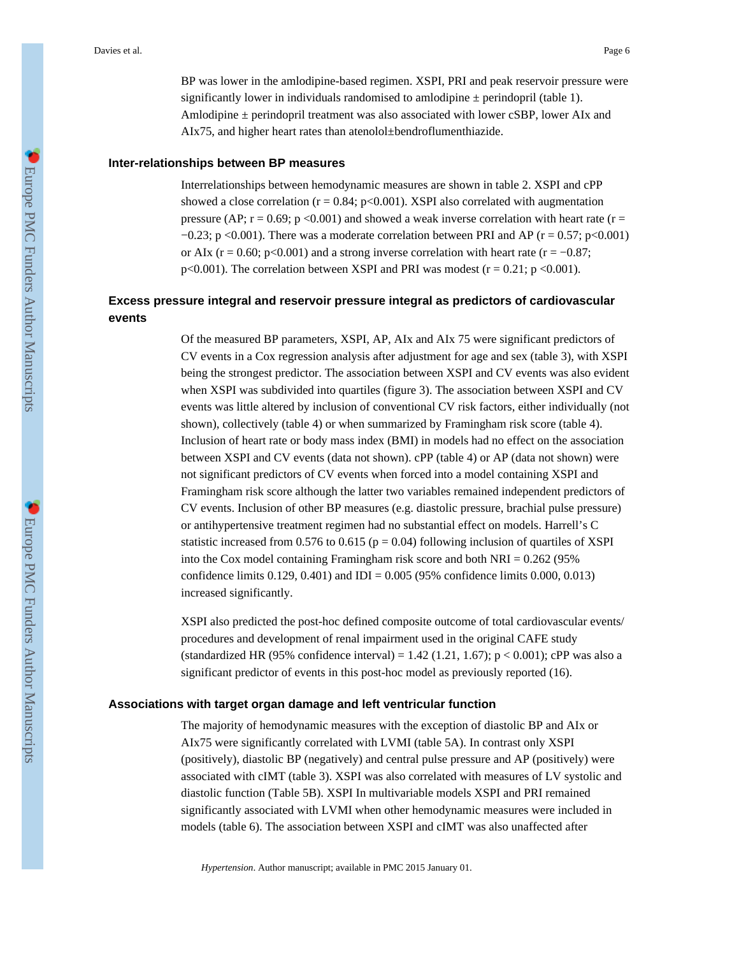BP was lower in the amlodipine-based regimen. XSPI, PRI and peak reservoir pressure were significantly lower in individuals randomised to amlodipine  $\pm$  perindopril (table 1). Amlodipine  $\pm$  perindopril treatment was also associated with lower cSBP, lower AIx and AIx75, and higher heart rates than atenolol±bendroflumenthiazide.

#### **Inter-relationships between BP measures**

Interrelationships between hemodynamic measures are shown in table 2. XSPI and cPP showed a close correlation ( $r = 0.84$ ;  $p < 0.001$ ). XSPI also correlated with augmentation pressure (AP;  $r = 0.69$ ;  $p \le 0.001$ ) and showed a weak inverse correlation with heart rate ( $r =$  $-0.23$ ; p <0.001). There was a moderate correlation between PRI and AP (r = 0.57; p <0.001) or AIx ( $r = 0.60$ ; p<0.001) and a strong inverse correlation with heart rate ( $r = -0.87$ ;  $p<0.001$ ). The correlation between XSPI and PRI was modest ( $r = 0.21$ ;  $p < 0.001$ ).

# **Excess pressure integral and reservoir pressure integral as predictors of cardiovascular events**

Of the measured BP parameters, XSPI, AP, AIx and AIx 75 were significant predictors of CV events in a Cox regression analysis after adjustment for age and sex (table 3), with XSPI being the strongest predictor. The association between XSPI and CV events was also evident when XSPI was subdivided into quartiles (figure 3). The association between XSPI and CV events was little altered by inclusion of conventional CV risk factors, either individually (not shown), collectively (table 4) or when summarized by Framingham risk score (table 4). Inclusion of heart rate or body mass index (BMI) in models had no effect on the association between XSPI and CV events (data not shown). cPP (table 4) or AP (data not shown) were not significant predictors of CV events when forced into a model containing XSPI and Framingham risk score although the latter two variables remained independent predictors of CV events. Inclusion of other BP measures (e.g. diastolic pressure, brachial pulse pressure) or antihypertensive treatment regimen had no substantial effect on models. Harrell's C statistic increased from 0.576 to 0.615 ( $p = 0.04$ ) following inclusion of quartiles of XSPI into the Cox model containing Framingham risk score and both  $NRI = 0.262$  (95%) confidence limits  $0.129, 0.401$  and IDI =  $0.005$  (95% confidence limits  $0.000, 0.013$ ) increased significantly.

XSPI also predicted the post-hoc defined composite outcome of total cardiovascular events/ procedures and development of renal impairment used in the original CAFE study (standardized HR (95% confidence interval) = 1.42 (1.21, 1.67);  $p < 0.001$ ; cPP was also a significant predictor of events in this post-hoc model as previously reported (16).

#### **Associations with target organ damage and left ventricular function**

The majority of hemodynamic measures with the exception of diastolic BP and AIx or AIx75 were significantly correlated with LVMI (table 5A). In contrast only XSPI (positively), diastolic BP (negatively) and central pulse pressure and AP (positively) were associated with cIMT (table 3). XSPI was also correlated with measures of LV systolic and diastolic function (Table 5B). XSPI In multivariable models XSPI and PRI remained significantly associated with LVMI when other hemodynamic measures were included in models (table 6). The association between XSPI and cIMT was also unaffected after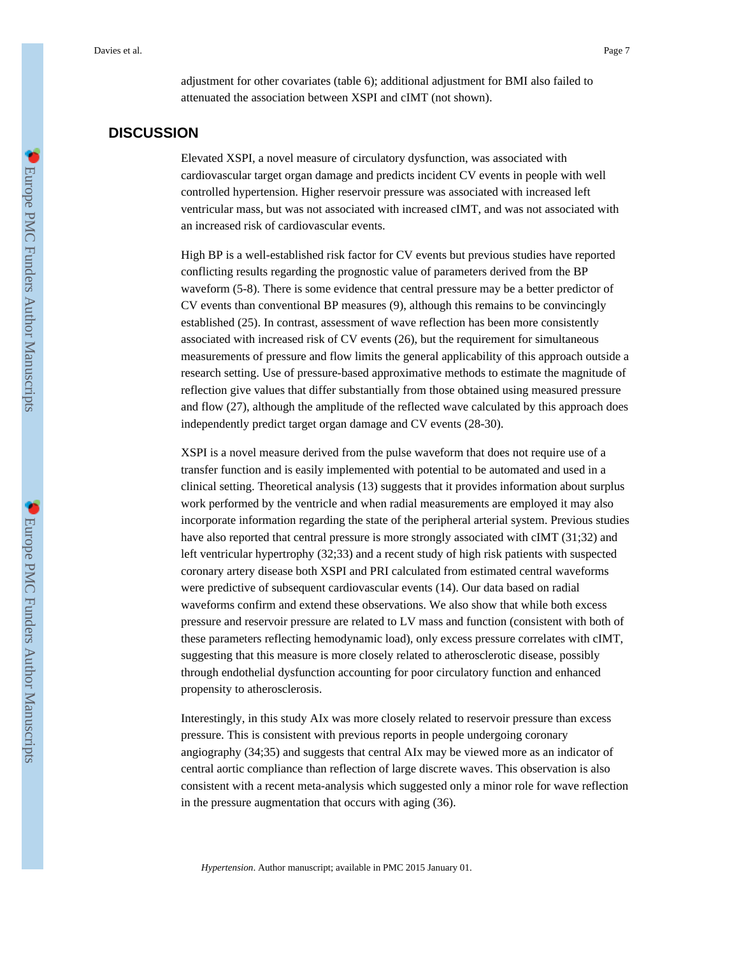adjustment for other covariates (table 6); additional adjustment for BMI also failed to attenuated the association between XSPI and cIMT (not shown).

# **DISCUSSION**

Elevated XSPI, a novel measure of circulatory dysfunction, was associated with cardiovascular target organ damage and predicts incident CV events in people with well controlled hypertension. Higher reservoir pressure was associated with increased left ventricular mass, but was not associated with increased cIMT, and was not associated with an increased risk of cardiovascular events.

High BP is a well-established risk factor for CV events but previous studies have reported conflicting results regarding the prognostic value of parameters derived from the BP waveform (5-8). There is some evidence that central pressure may be a better predictor of CV events than conventional BP measures (9), although this remains to be convincingly established (25). In contrast, assessment of wave reflection has been more consistently associated with increased risk of CV events (26), but the requirement for simultaneous measurements of pressure and flow limits the general applicability of this approach outside a research setting. Use of pressure-based approximative methods to estimate the magnitude of reflection give values that differ substantially from those obtained using measured pressure and flow (27), although the amplitude of the reflected wave calculated by this approach does independently predict target organ damage and CV events (28-30).

XSPI is a novel measure derived from the pulse waveform that does not require use of a transfer function and is easily implemented with potential to be automated and used in a clinical setting. Theoretical analysis (13) suggests that it provides information about surplus work performed by the ventricle and when radial measurements are employed it may also incorporate information regarding the state of the peripheral arterial system. Previous studies have also reported that central pressure is more strongly associated with cIMT (31;32) and left ventricular hypertrophy (32;33) and a recent study of high risk patients with suspected coronary artery disease both XSPI and PRI calculated from estimated central waveforms were predictive of subsequent cardiovascular events (14). Our data based on radial waveforms confirm and extend these observations. We also show that while both excess pressure and reservoir pressure are related to LV mass and function (consistent with both of these parameters reflecting hemodynamic load), only excess pressure correlates with cIMT, suggesting that this measure is more closely related to atherosclerotic disease, possibly through endothelial dysfunction accounting for poor circulatory function and enhanced propensity to atherosclerosis.

Interestingly, in this study AIx was more closely related to reservoir pressure than excess pressure. This is consistent with previous reports in people undergoing coronary angiography (34;35) and suggests that central AIx may be viewed more as an indicator of central aortic compliance than reflection of large discrete waves. This observation is also consistent with a recent meta-analysis which suggested only a minor role for wave reflection in the pressure augmentation that occurs with aging (36).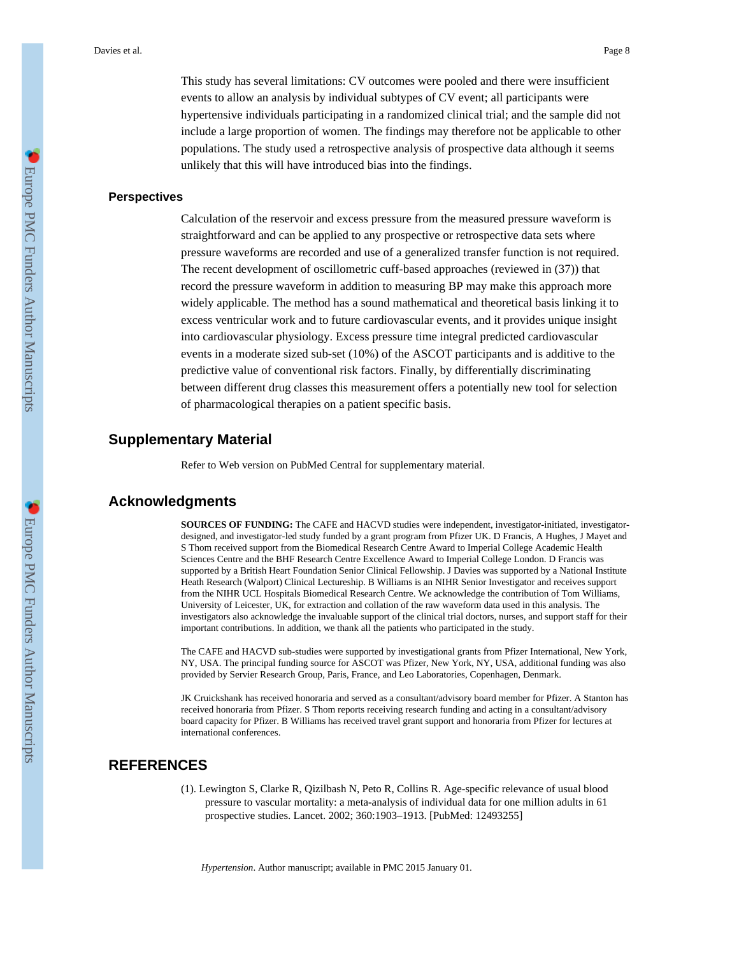This study has several limitations: CV outcomes were pooled and there were insufficient events to allow an analysis by individual subtypes of CV event; all participants were hypertensive individuals participating in a randomized clinical trial; and the sample did not include a large proportion of women. The findings may therefore not be applicable to other populations. The study used a retrospective analysis of prospective data although it seems unlikely that this will have introduced bias into the findings.

#### **Perspectives**

Calculation of the reservoir and excess pressure from the measured pressure waveform is straightforward and can be applied to any prospective or retrospective data sets where pressure waveforms are recorded and use of a generalized transfer function is not required. The recent development of oscillometric cuff-based approaches (reviewed in (37)) that record the pressure waveform in addition to measuring BP may make this approach more widely applicable. The method has a sound mathematical and theoretical basis linking it to excess ventricular work and to future cardiovascular events, and it provides unique insight into cardiovascular physiology. Excess pressure time integral predicted cardiovascular events in a moderate sized sub-set (10%) of the ASCOT participants and is additive to the predictive value of conventional risk factors. Finally, by differentially discriminating between different drug classes this measurement offers a potentially new tool for selection of pharmacological therapies on a patient specific basis.

#### **Supplementary Material**

Refer to Web version on PubMed Central for supplementary material.

#### **Acknowledgments**

**SOURCES OF FUNDING:** The CAFE and HACVD studies were independent, investigator-initiated, investigatordesigned, and investigator-led study funded by a grant program from Pfizer UK. D Francis, A Hughes, J Mayet and S Thom received support from the Biomedical Research Centre Award to Imperial College Academic Health Sciences Centre and the BHF Research Centre Excellence Award to Imperial College London. D Francis was supported by a British Heart Foundation Senior Clinical Fellowship. J Davies was supported by a National Institute Heath Research (Walport) Clinical Lectureship. B Williams is an NIHR Senior Investigator and receives support from the NIHR UCL Hospitals Biomedical Research Centre. We acknowledge the contribution of Tom Williams, University of Leicester, UK, for extraction and collation of the raw waveform data used in this analysis. The investigators also acknowledge the invaluable support of the clinical trial doctors, nurses, and support staff for their important contributions. In addition, we thank all the patients who participated in the study.

The CAFE and HACVD sub-studies were supported by investigational grants from Pfizer International, New York, NY, USA. The principal funding source for ASCOT was Pfizer, New York, NY, USA, additional funding was also provided by Servier Research Group, Paris, France, and Leo Laboratories, Copenhagen, Denmark.

JK Cruickshank has received honoraria and served as a consultant/advisory board member for Pfizer. A Stanton has received honoraria from Pfizer. S Thom reports receiving research funding and acting in a consultant/advisory board capacity for Pfizer. B Williams has received travel grant support and honoraria from Pfizer for lectures at international conferences.

### **REFERENCES**

(1). Lewington S, Clarke R, Qizilbash N, Peto R, Collins R. Age-specific relevance of usual blood pressure to vascular mortality: a meta-analysis of individual data for one million adults in 61 prospective studies. Lancet. 2002; 360:1903–1913. [PubMed: 12493255]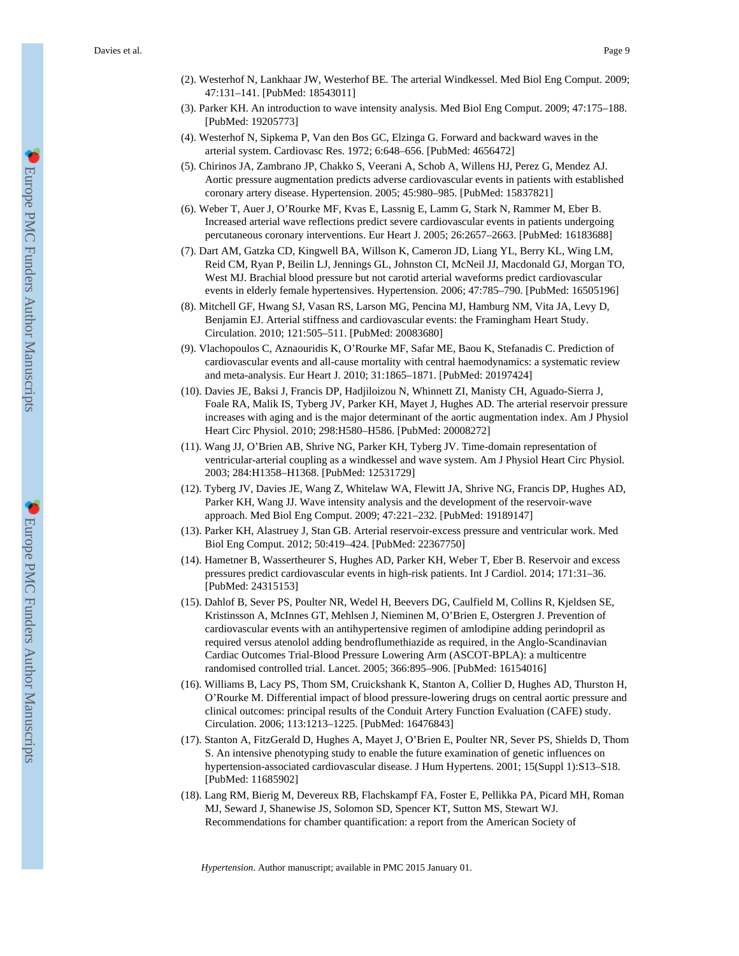- (2). Westerhof N, Lankhaar JW, Westerhof BE. The arterial Windkessel. Med Biol Eng Comput. 2009; 47:131–141. [PubMed: 18543011]
- (3). Parker KH. An introduction to wave intensity analysis. Med Biol Eng Comput. 2009; 47:175–188. [PubMed: 19205773]
- (4). Westerhof N, Sipkema P, Van den Bos GC, Elzinga G. Forward and backward waves in the arterial system. Cardiovasc Res. 1972; 6:648–656. [PubMed: 4656472]
- (5). Chirinos JA, Zambrano JP, Chakko S, Veerani A, Schob A, Willens HJ, Perez G, Mendez AJ. Aortic pressure augmentation predicts adverse cardiovascular events in patients with established coronary artery disease. Hypertension. 2005; 45:980–985. [PubMed: 15837821]
- (6). Weber T, Auer J, O'Rourke MF, Kvas E, Lassnig E, Lamm G, Stark N, Rammer M, Eber B. Increased arterial wave reflections predict severe cardiovascular events in patients undergoing percutaneous coronary interventions. Eur Heart J. 2005; 26:2657–2663. [PubMed: 16183688]
- (7). Dart AM, Gatzka CD, Kingwell BA, Willson K, Cameron JD, Liang YL, Berry KL, Wing LM, Reid CM, Ryan P, Beilin LJ, Jennings GL, Johnston CI, McNeil JJ, Macdonald GJ, Morgan TO, West MJ. Brachial blood pressure but not carotid arterial waveforms predict cardiovascular events in elderly female hypertensives. Hypertension. 2006; 47:785–790. [PubMed: 16505196]
- (8). Mitchell GF, Hwang SJ, Vasan RS, Larson MG, Pencina MJ, Hamburg NM, Vita JA, Levy D, Benjamin EJ. Arterial stiffness and cardiovascular events: the Framingham Heart Study. Circulation. 2010; 121:505–511. [PubMed: 20083680]
- (9). Vlachopoulos C, Aznaouridis K, O'Rourke MF, Safar ME, Baou K, Stefanadis C. Prediction of cardiovascular events and all-cause mortality with central haemodynamics: a systematic review and meta-analysis. Eur Heart J. 2010; 31:1865–1871. [PubMed: 20197424]
- (10). Davies JE, Baksi J, Francis DP, Hadjiloizou N, Whinnett ZI, Manisty CH, Aguado-Sierra J, Foale RA, Malik IS, Tyberg JV, Parker KH, Mayet J, Hughes AD. The arterial reservoir pressure increases with aging and is the major determinant of the aortic augmentation index. Am J Physiol Heart Circ Physiol. 2010; 298:H580–H586. [PubMed: 20008272]
- (11). Wang JJ, O'Brien AB, Shrive NG, Parker KH, Tyberg JV. Time-domain representation of ventricular-arterial coupling as a windkessel and wave system. Am J Physiol Heart Circ Physiol. 2003; 284:H1358–H1368. [PubMed: 12531729]
- (12). Tyberg JV, Davies JE, Wang Z, Whitelaw WA, Flewitt JA, Shrive NG, Francis DP, Hughes AD, Parker KH, Wang JJ. Wave intensity analysis and the development of the reservoir-wave approach. Med Biol Eng Comput. 2009; 47:221–232. [PubMed: 19189147]
- (13). Parker KH, Alastruey J, Stan GB. Arterial reservoir-excess pressure and ventricular work. Med Biol Eng Comput. 2012; 50:419–424. [PubMed: 22367750]
- (14). Hametner B, Wassertheurer S, Hughes AD, Parker KH, Weber T, Eber B. Reservoir and excess pressures predict cardiovascular events in high-risk patients. Int J Cardiol. 2014; 171:31–36. [PubMed: 24315153]
- (15). Dahlof B, Sever PS, Poulter NR, Wedel H, Beevers DG, Caulfield M, Collins R, Kjeldsen SE, Kristinsson A, McInnes GT, Mehlsen J, Nieminen M, O'Brien E, Ostergren J. Prevention of cardiovascular events with an antihypertensive regimen of amlodipine adding perindopril as required versus atenolol adding bendroflumethiazide as required, in the Anglo-Scandinavian Cardiac Outcomes Trial-Blood Pressure Lowering Arm (ASCOT-BPLA): a multicentre randomised controlled trial. Lancet. 2005; 366:895–906. [PubMed: 16154016]
- (16). Williams B, Lacy PS, Thom SM, Cruickshank K, Stanton A, Collier D, Hughes AD, Thurston H, O'Rourke M. Differential impact of blood pressure-lowering drugs on central aortic pressure and clinical outcomes: principal results of the Conduit Artery Function Evaluation (CAFE) study. Circulation. 2006; 113:1213–1225. [PubMed: 16476843]
- (17). Stanton A, FitzGerald D, Hughes A, Mayet J, O'Brien E, Poulter NR, Sever PS, Shields D, Thom S. An intensive phenotyping study to enable the future examination of genetic influences on hypertension-associated cardiovascular disease. J Hum Hypertens. 2001; 15(Suppl 1):S13–S18. [PubMed: 11685902]
- (18). Lang RM, Bierig M, Devereux RB, Flachskampf FA, Foster E, Pellikka PA, Picard MH, Roman MJ, Seward J, Shanewise JS, Solomon SD, Spencer KT, Sutton MS, Stewart WJ. Recommendations for chamber quantification: a report from the American Society of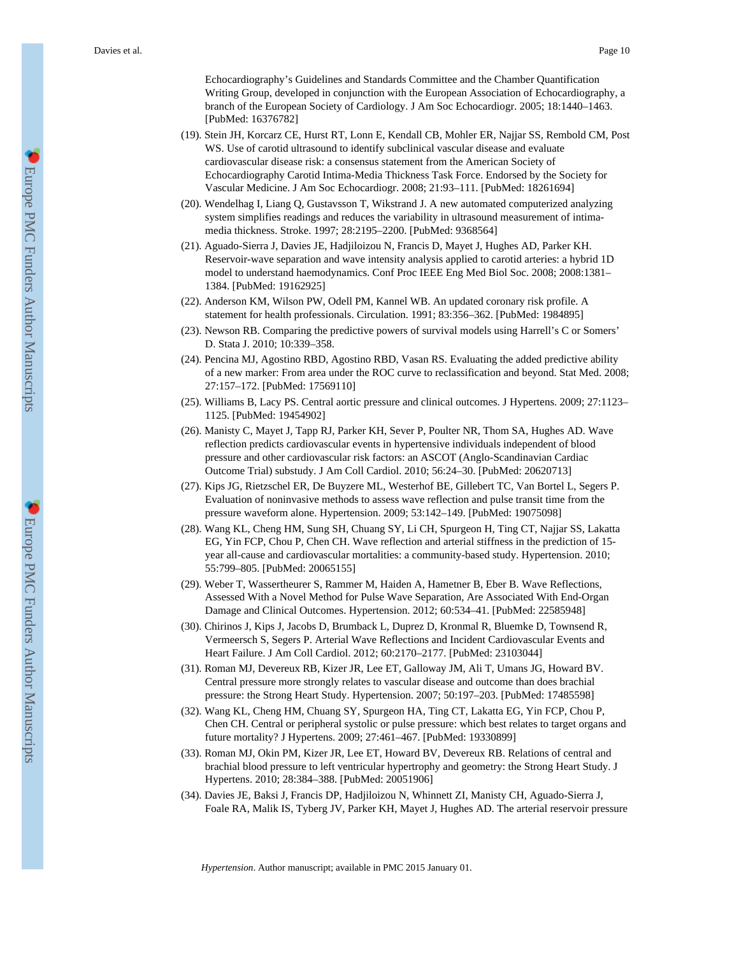Echocardiography's Guidelines and Standards Committee and the Chamber Quantification Writing Group, developed in conjunction with the European Association of Echocardiography, a branch of the European Society of Cardiology. J Am Soc Echocardiogr. 2005; 18:1440–1463. [PubMed: 16376782]

- (19). Stein JH, Korcarz CE, Hurst RT, Lonn E, Kendall CB, Mohler ER, Najjar SS, Rembold CM, Post WS. Use of carotid ultrasound to identify subclinical vascular disease and evaluate cardiovascular disease risk: a consensus statement from the American Society of Echocardiography Carotid Intima-Media Thickness Task Force. Endorsed by the Society for Vascular Medicine. J Am Soc Echocardiogr. 2008; 21:93–111. [PubMed: 18261694]
- (20). Wendelhag I, Liang Q, Gustavsson T, Wikstrand J. A new automated computerized analyzing system simplifies readings and reduces the variability in ultrasound measurement of intimamedia thickness. Stroke. 1997; 28:2195–2200. [PubMed: 9368564]
- (21). Aguado-Sierra J, Davies JE, Hadjiloizou N, Francis D, Mayet J, Hughes AD, Parker KH. Reservoir-wave separation and wave intensity analysis applied to carotid arteries: a hybrid 1D model to understand haemodynamics. Conf Proc IEEE Eng Med Biol Soc. 2008; 2008:1381– 1384. [PubMed: 19162925]
- (22). Anderson KM, Wilson PW, Odell PM, Kannel WB. An updated coronary risk profile. A statement for health professionals. Circulation. 1991; 83:356–362. [PubMed: 1984895]
- (23). Newson RB. Comparing the predictive powers of survival models using Harrell's C or Somers' D. Stata J. 2010; 10:339–358.
- (24). Pencina MJ, Agostino RBD, Agostino RBD, Vasan RS. Evaluating the added predictive ability of a new marker: From area under the ROC curve to reclassification and beyond. Stat Med. 2008; 27:157–172. [PubMed: 17569110]
- (25). Williams B, Lacy PS. Central aortic pressure and clinical outcomes. J Hypertens. 2009; 27:1123– 1125. [PubMed: 19454902]
- (26). Manisty C, Mayet J, Tapp RJ, Parker KH, Sever P, Poulter NR, Thom SA, Hughes AD. Wave reflection predicts cardiovascular events in hypertensive individuals independent of blood pressure and other cardiovascular risk factors: an ASCOT (Anglo-Scandinavian Cardiac Outcome Trial) substudy. J Am Coll Cardiol. 2010; 56:24–30. [PubMed: 20620713]
- (27). Kips JG, Rietzschel ER, De Buyzere ML, Westerhof BE, Gillebert TC, Van Bortel L, Segers P. Evaluation of noninvasive methods to assess wave reflection and pulse transit time from the pressure waveform alone. Hypertension. 2009; 53:142–149. [PubMed: 19075098]
- (28). Wang KL, Cheng HM, Sung SH, Chuang SY, Li CH, Spurgeon H, Ting CT, Najjar SS, Lakatta EG, Yin FCP, Chou P, Chen CH. Wave reflection and arterial stiffness in the prediction of 15 year all-cause and cardiovascular mortalities: a community-based study. Hypertension. 2010; 55:799–805. [PubMed: 20065155]
- (29). Weber T, Wassertheurer S, Rammer M, Haiden A, Hametner B, Eber B. Wave Reflections, Assessed With a Novel Method for Pulse Wave Separation, Are Associated With End-Organ Damage and Clinical Outcomes. Hypertension. 2012; 60:534–41. [PubMed: 22585948]
- (30). Chirinos J, Kips J, Jacobs D, Brumback L, Duprez D, Kronmal R, Bluemke D, Townsend R, Vermeersch S, Segers P. Arterial Wave Reflections and Incident Cardiovascular Events and Heart Failure. J Am Coll Cardiol. 2012; 60:2170–2177. [PubMed: 23103044]
- (31). Roman MJ, Devereux RB, Kizer JR, Lee ET, Galloway JM, Ali T, Umans JG, Howard BV. Central pressure more strongly relates to vascular disease and outcome than does brachial pressure: the Strong Heart Study. Hypertension. 2007; 50:197–203. [PubMed: 17485598]
- (32). Wang KL, Cheng HM, Chuang SY, Spurgeon HA, Ting CT, Lakatta EG, Yin FCP, Chou P, Chen CH. Central or peripheral systolic or pulse pressure: which best relates to target organs and future mortality? J Hypertens. 2009; 27:461–467. [PubMed: 19330899]
- (33). Roman MJ, Okin PM, Kizer JR, Lee ET, Howard BV, Devereux RB. Relations of central and brachial blood pressure to left ventricular hypertrophy and geometry: the Strong Heart Study. J Hypertens. 2010; 28:384–388. [PubMed: 20051906]
- (34). Davies JE, Baksi J, Francis DP, Hadjiloizou N, Whinnett ZI, Manisty CH, Aguado-Sierra J, Foale RA, Malik IS, Tyberg JV, Parker KH, Mayet J, Hughes AD. The arterial reservoir pressure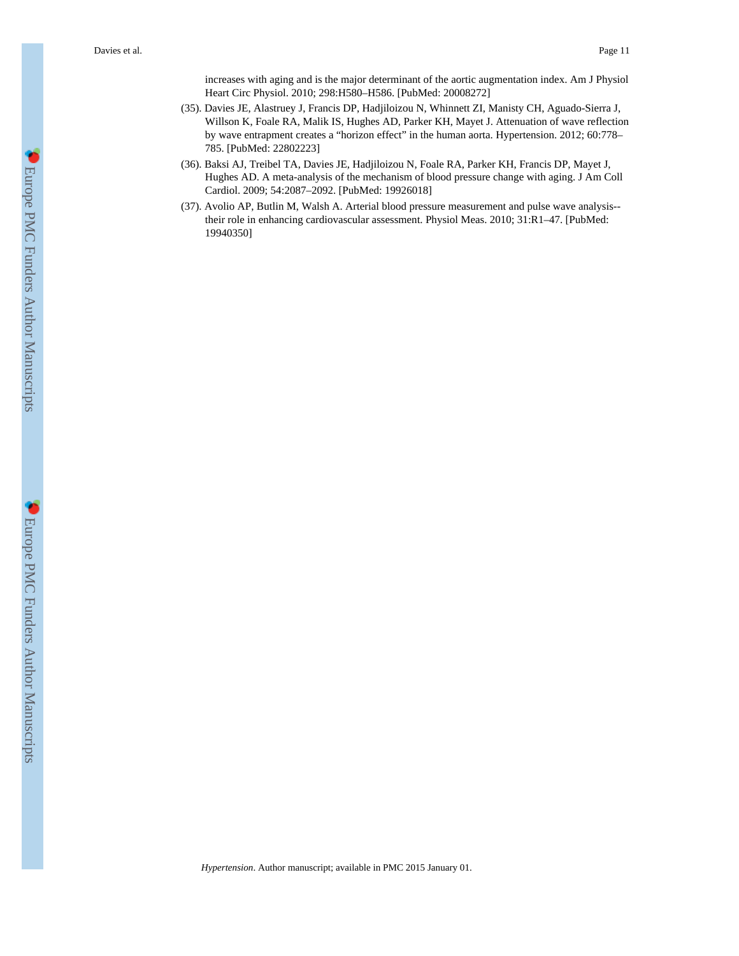increases with aging and is the major determinant of the aortic augmentation index. Am J Physiol Heart Circ Physiol. 2010; 298:H580–H586. [PubMed: 20008272]

- (35). Davies JE, Alastruey J, Francis DP, Hadjiloizou N, Whinnett ZI, Manisty CH, Aguado-Sierra J, Willson K, Foale RA, Malik IS, Hughes AD, Parker KH, Mayet J. Attenuation of wave reflection by wave entrapment creates a "horizon effect" in the human aorta. Hypertension. 2012; 60:778– 785. [PubMed: 22802223]
- (36). Baksi AJ, Treibel TA, Davies JE, Hadjiloizou N, Foale RA, Parker KH, Francis DP, Mayet J, Hughes AD. A meta-analysis of the mechanism of blood pressure change with aging. J Am Coll Cardiol. 2009; 54:2087–2092. [PubMed: 19926018]
- (37). Avolio AP, Butlin M, Walsh A. Arterial blood pressure measurement and pulse wave analysis- their role in enhancing cardiovascular assessment. Physiol Meas. 2010; 31:R1–47. [PubMed: 19940350]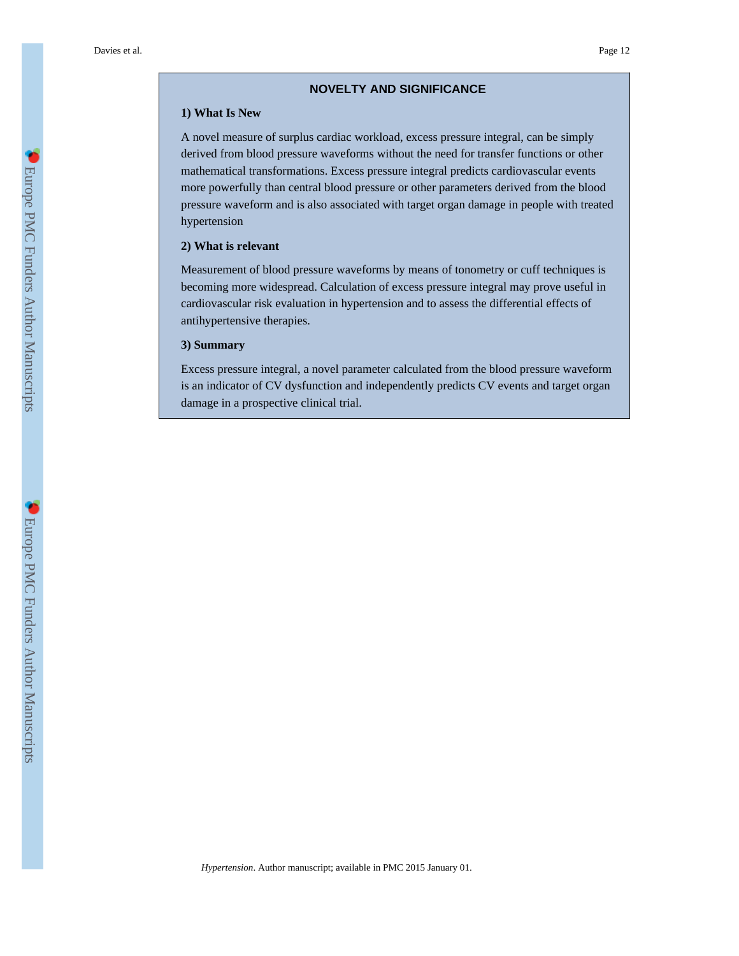#### **NOVELTY AND SIGNIFICANCE**

#### **1) What Is New**

A novel measure of surplus cardiac workload, excess pressure integral, can be simply derived from blood pressure waveforms without the need for transfer functions or other mathematical transformations. Excess pressure integral predicts cardiovascular events more powerfully than central blood pressure or other parameters derived from the blood pressure waveform and is also associated with target organ damage in people with treated hypertension

#### **2) What is relevant**

Measurement of blood pressure waveforms by means of tonometry or cuff techniques is becoming more widespread. Calculation of excess pressure integral may prove useful in cardiovascular risk evaluation in hypertension and to assess the differential effects of antihypertensive therapies.

#### **3) Summary**

Excess pressure integral, a novel parameter calculated from the blood pressure waveform is an indicator of CV dysfunction and independently predicts CV events and target organ damage in a prospective clinical trial.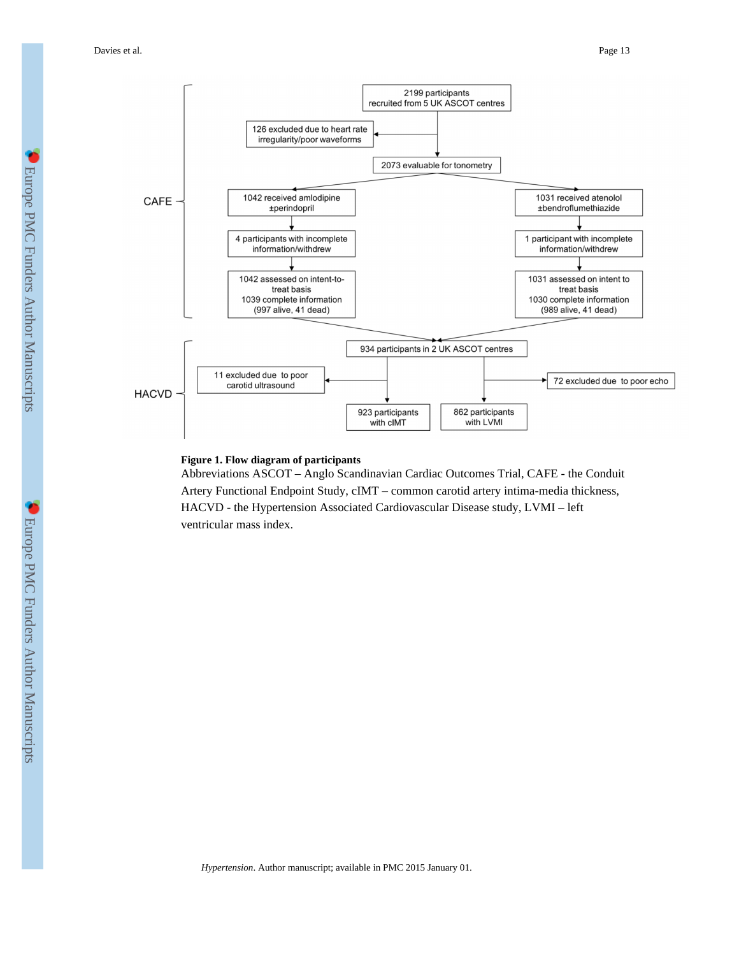

#### **Figure 1. Flow diagram of participants**

Abbreviations ASCOT – Anglo Scandinavian Cardiac Outcomes Trial, CAFE - the Conduit Artery Functional Endpoint Study, cIMT – common carotid artery intima-media thickness, HACVD - the Hypertension Associated Cardiovascular Disease study, LVMI – left ventricular mass index.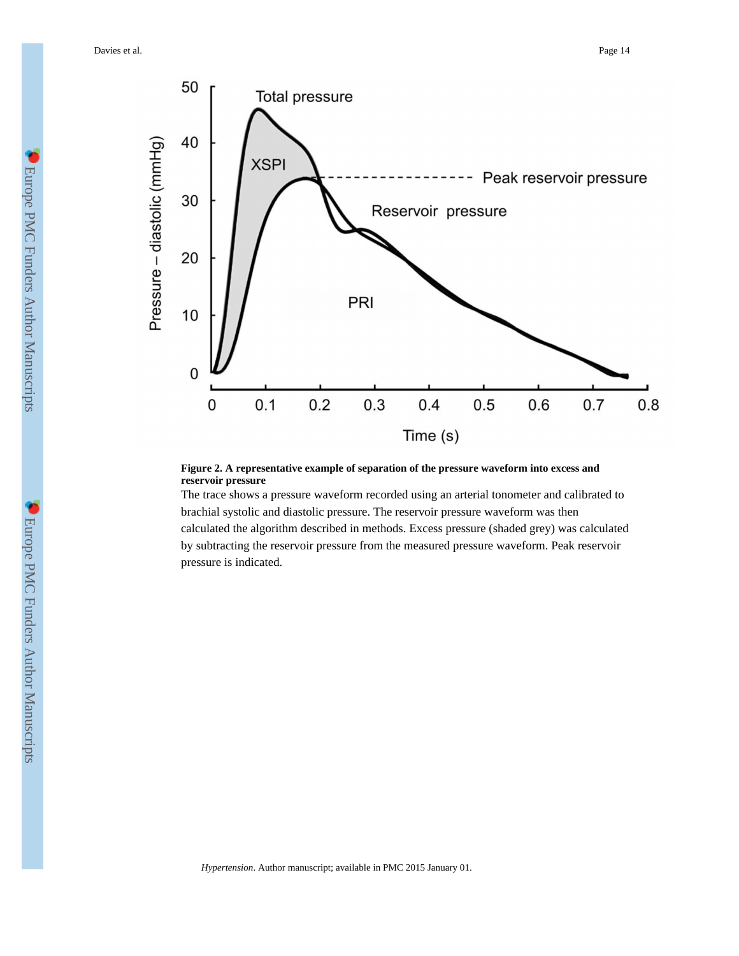Davies et al. Page 14



#### **Figure 2. A representative example of separation of the pressure waveform into excess and reservoir pressure**

The trace shows a pressure waveform recorded using an arterial tonometer and calibrated to brachial systolic and diastolic pressure. The reservoir pressure waveform was then calculated the algorithm described in methods. Excess pressure (shaded grey) was calculated by subtracting the reservoir pressure from the measured pressure waveform. Peak reservoir pressure is indicated.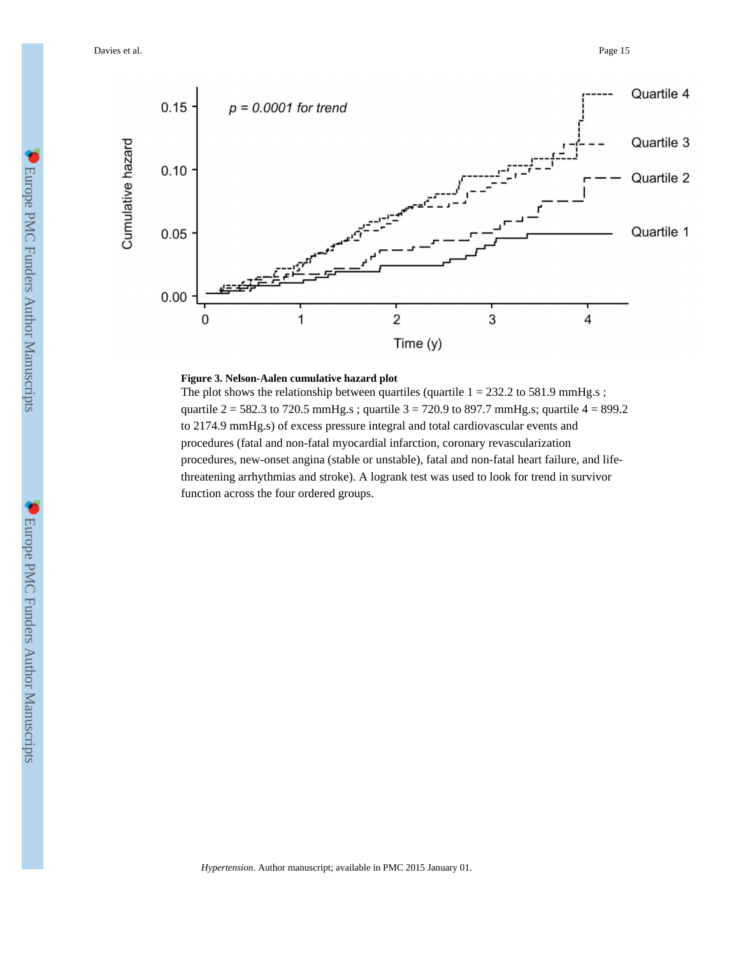Davies et al. Page 15



#### **Figure 3. Nelson-Aalen cumulative hazard plot**

The plot shows the relationship between quartiles (quartile  $1 = 232.2$  to 581.9 mmHg.s; quartile  $2 = 582.3$  to 720.5 mmHg.s; quartile  $3 = 720.9$  to 897.7 mmHg.s; quartile  $4 = 899.2$ to 2174.9 mmHg.s) of excess pressure integral and total cardiovascular events and procedures (fatal and non-fatal myocardial infarction, coronary revascularization procedures, new-onset angina (stable or unstable), fatal and non-fatal heart failure, and lifethreatening arrhythmias and stroke). A logrank test was used to look for trend in survivor function across the four ordered groups.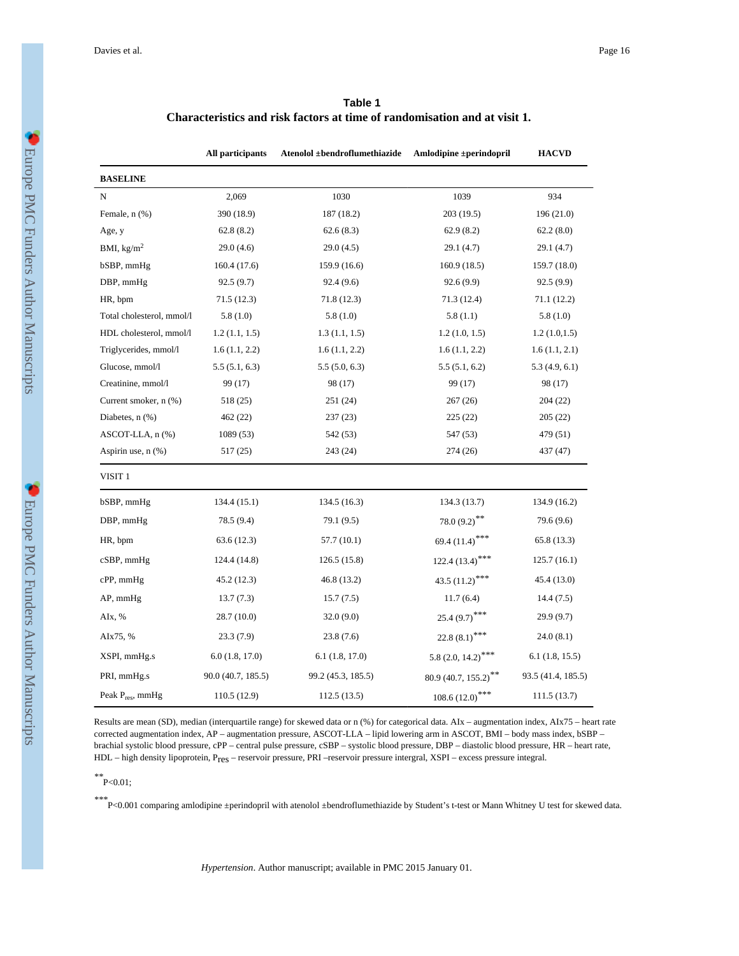| Table 1                                                                   |
|---------------------------------------------------------------------------|
| Characteristics and risk factors at time of randomisation and at visit 1. |

|                           | All participants   | Atenolol ±bendroflumethiazide | Amlodipine ±perindopril      | <b>HACVD</b>       |
|---------------------------|--------------------|-------------------------------|------------------------------|--------------------|
| <b>BASELINE</b>           |                    |                               |                              |                    |
| N                         | 2,069              | 1030                          | 1039                         | 934                |
| Female, n (%)             | 390 (18.9)         | 187 (18.2)                    | 203(19.5)                    | 196 (21.0)         |
| Age, y                    | 62.8(8.2)          | 62.6(8.3)                     | 62.9(8.2)                    | 62.2(8.0)          |
| BMI, $\text{kg/m}^2$      | 29.0(4.6)          | 29.0(4.5)                     | 29.1 (4.7)                   | 29.1 (4.7)         |
| bSBP, mmHg                | 160.4 (17.6)       | 159.9 (16.6)                  | 160.9(18.5)                  | 159.7 (18.0)       |
| DBP, mmHg                 | 92.5(9.7)          | 92.4(9.6)                     | 92.6(9.9)                    | 92.5(9.9)          |
| HR, bpm                   | 71.5 (12.3)        | 71.8 (12.3)                   | 71.3 (12.4)                  | 71.1 (12.2)        |
| Total cholesterol, mmol/l | 5.8(1.0)           | 5.8(1.0)                      | 5.8(1.1)                     | 5.8(1.0)           |
| HDL cholesterol, mmol/l   | 1.2(1.1, 1.5)      | 1.3(1.1, 1.5)                 | 1.2(1.0, 1.5)                | 1.2(1.0, 1.5)      |
| Triglycerides, mmol/l     | 1.6(1.1, 2.2)      | 1.6(1.1, 2.2)                 | 1.6(1.1, 2.2)                | 1.6(1.1, 2.1)      |
| Glucose, mmol/l           | 5.5(5.1, 6.3)      | 5.5(5.0, 6.3)                 | 5.5(5.1, 6.2)                | 5.3(4.9, 6.1)      |
| Creatinine, mmol/l        | 99 (17)            | 98 (17)                       | 99 (17)                      | 98 (17)            |
| Current smoker, n (%)     | 518 (25)           | 251 (24)                      | 267(26)                      | 204 (22)           |
| Diabetes, $n$ $(\%)$      | 462 (22)           | 237(23)                       | 225(22)                      | 205(22)            |
| ASCOT-LLA, n (%)          | 1089 (53)          | 542 (53)                      | 547 (53)                     | 479 (51)           |
| Aspirin use, $n$ $(\%)$   | 517 (25)           | 243 (24)                      | 274 (26)                     | 437 (47)           |
| VISIT <sub>1</sub>        |                    |                               |                              |                    |
| bSBP, mmHg                | 134.4 (15.1)       | 134.5 (16.3)                  | 134.3 (13.7)                 | 134.9 (16.2)       |
| DBP, mmHg                 | 78.5 (9.4)         | 79.1 (9.5)                    | 78.0 $(9.2)$ **              | 79.6 (9.6)         |
| HR, bpm                   | 63.6(12.3)         | 57.7 (10.1)                   | 69.4 (11.4)***               | 65.8(13.3)         |
| $cSBP$ , mm $Hg$          | 124.4 (14.8)       | 126.5(15.8)                   | $122.4(13.4)$ <sup>***</sup> | 125.7(16.1)        |
| cPP, mmHg                 | 45.2 (12.3)        | 46.8 (13.2)                   | 43.5 $(11.2)$ <sup>***</sup> | 45.4 (13.0)        |
| $AP$ , mm $Hg$            | 13.7(7.3)          | 15.7(7.5)                     | 11.7(6.4)                    | 14.4(7.5)          |
| AIx, %                    | 28.7(10.0)         | 32.0(9.0)                     | $25.4(9.7)$ ***              | 29.9(9.7)          |
| AIx75, %                  | 23.3(7.9)          | 23.8(7.6)                     | 22.8 $(8.1)$ ***             | 24.0(8.1)          |
| XSPI, mmHg.s              | 6.0(1.8, 17.0)     | 6.1(1.8, 17.0)                | 5.8 $(2.0, 14.2)$ ***        | 6.1(1.8, 15.5)     |
| PRI, mmHg.s               | 90.0 (40.7, 185.5) | 99.2 (45.3, 185.5)            | $80.9(40.7, 155.2)^{**}$     | 93.5 (41.4, 185.5) |
| Peak $P_{res}$ , mmHg     | 110.5 (12.9)       | 112.5(13.5)                   | $108.6(12.0)$ ***            | 111.5 (13.7)       |

Results are mean (SD), median (interquartile range) for skewed data or n (%) for categorical data. AIx – augmentation index, AIx75 – heart rate corrected augmentation index, AP – augmentation pressure, ASCOT-LLA – lipid lowering arm in ASCOT, BMI – body mass index, bSBP – brachial systolic blood pressure, cPP – central pulse pressure, cSBP – systolic blood pressure, DBP – diastolic blood pressure, HR – heart rate, HDL – high density lipoprotein, Pres – reservoir pressure, PRI –reservoir pressure intergral, XSPI – excess pressure integral.

*\*\**P<0.01;

*\*\*\**P<0.001 comparing amlodipine ±perindopril with atenolol ±bendroflumethiazide by Student's t-test or Mann Whitney U test for skewed data.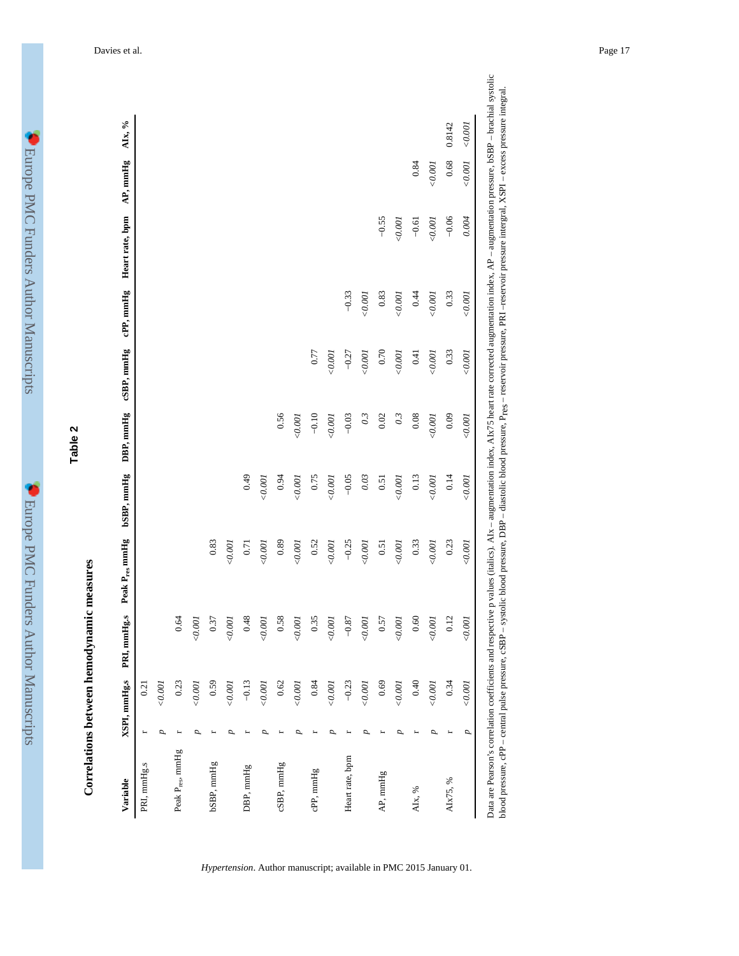| ۱<br>l                                            |  |
|---------------------------------------------------|--|
| I<br>ļ<br>$\overline{\phantom{a}}$<br>j<br>I<br>Į |  |
| ĺ<br>Í<br>$\frac{1}{2}$                           |  |
| l<br>りくりょうし<br>I                                  |  |
| l<br>一年 电子电子 医骨<br>$\frac{1}{2}$                  |  |
| $\frac{1}{2}$                                     |  |
|                                                   |  |
|                                                   |  |
| j<br>I<br>İ                                       |  |
| l<br>į<br>l                                       |  |
| Į<br>l<br>Ì<br>$\frac{1}{2}$                      |  |
| $\frac{1}{2}$<br>ׇ֓<br>l                          |  |
| ֚                                                 |  |
| ֕<br>j<br>I<br>l<br>I<br>j                        |  |

# **Correlations between hemodynamic measures** Correla

**Table 2**

| コーニ くくくり                                                                                                                                                             |
|----------------------------------------------------------------------------------------------------------------------------------------------------------------------|
| i<br>i                                                                                                                                                               |
| ֢֚֚֚֚֚֚֚֚֚֚֚֚֚֚֚֚֚֚֚֚֚֡֡֡֡֡֡֡֡֡֬                                                                                                                                     |
| l                                                                                                                                                                    |
| and the state of the state of the state of the state of the state of the state of the state of the state of th<br>֧֖֧֧֢ׅ֧֧֧֚֚֚֚֚֚֚֚֚֚֚֚֚֚֚֚֓֓֓֓֓֝֓ <b>֓</b> ֧֓֝<br>I |

| Variable                     | XSPI, mmHg.s | PRI, mmHg.s | Peak P <sub>res</sub> mmHg | bSBP, mmHg | DBP, mmHg        | cSBP, mmHg | cPP, mmHg | Heart rate, bpm | AP, mmHg | AIx, % |
|------------------------------|--------------|-------------|----------------------------|------------|------------------|------------|-----------|-----------------|----------|--------|
| PRI, mmHg.s                  | 0.21         |             |                            |            |                  |            |           |                 |          |        |
|                              | 0.001<br>Þ   |             |                            |            |                  |            |           |                 |          |        |
| Peak P <sub>res</sub> , mmHg | 0.23         | 0.64        |                            |            |                  |            |           |                 |          |        |
|                              | 0.001<br>D   | $<\!0.001$  |                            |            |                  |            |           |                 |          |        |
| bSBP, mmHg                   | 0.59         | 0.37        | 0.83                       |            |                  |            |           |                 |          |        |
|                              | 0.001        | 0.001       | 0.001                      |            |                  |            |           |                 |          |        |
| DBP, mmHg                    | $-0.13$      | 0.48        | 0.71                       | 0.49       |                  |            |           |                 |          |        |
|                              | 0.001<br>D   | 0.001       | 0.001                      | 0.001      |                  |            |           |                 |          |        |
| cSBP, mmHg                   | $0.62\,$     | 0.58        | 0.89                       | 0.94       | 0.56             |            |           |                 |          |        |
|                              | 0.001<br>D   | 0.001       | 0.001                      | 0.001      | 0.001            |            |           |                 |          |        |
| cPP, mmHg                    | 0.84         | 0.35        | 0.52                       | 0.75       | $-0.10$          | 0.77       |           |                 |          |        |
|                              | 0.001        | 0.001       | 0.001                      | 0.001      | 0.001            | 0.001      |           |                 |          |        |
| Heart rate, bpm              | $-0.23$      | $-0.87$     | $-0.25$                    | $-0.05$    | $-0.03$          | $-0.27$    | $-0.33$   |                 |          |        |
|                              | 0.001        | 0.001       | 0.001                      | 0.03       | $\overline{0.3}$ | 0.001      | 0.001     |                 |          |        |
| AP, mmHg                     | 0.69         | 0.57        | 0.51                       | 0.51       | 0.02             | 0.70       | 0.83      | $-0.55$         |          |        |
|                              | 0.001        | 0.001       | 0.001                      | 0.001      | 0.3              | 0.001      | 0.001     | 0.001           |          |        |
| AIx, %                       | 0.40         | 0.60        | 0.33                       | 0.13       | 0.08             | 0.41       | 0.44      | $-0.61$         | 0.84     |        |
|                              | 0.001<br>2   | 0.001       | 0.001                      | 0.001      | 0.001            | 0.001      | 0.001     | 0.001           | 0.001    |        |
| AIx75, %                     | 0.34         | 0.12        | 0.23                       | 0.14       | 0.09             | 0.33       | 0.33      | $-0.06$         | 0.68     | 0.8142 |
|                              | 0.001<br>p   | 0.001       | 0.001                      | 0.001      | 0.001            | 0.001      | 0.001     | 0.004           | 0.001    | 0.001  |

*Hypertension*. Author manuscript; available in PMC 2015 January 01.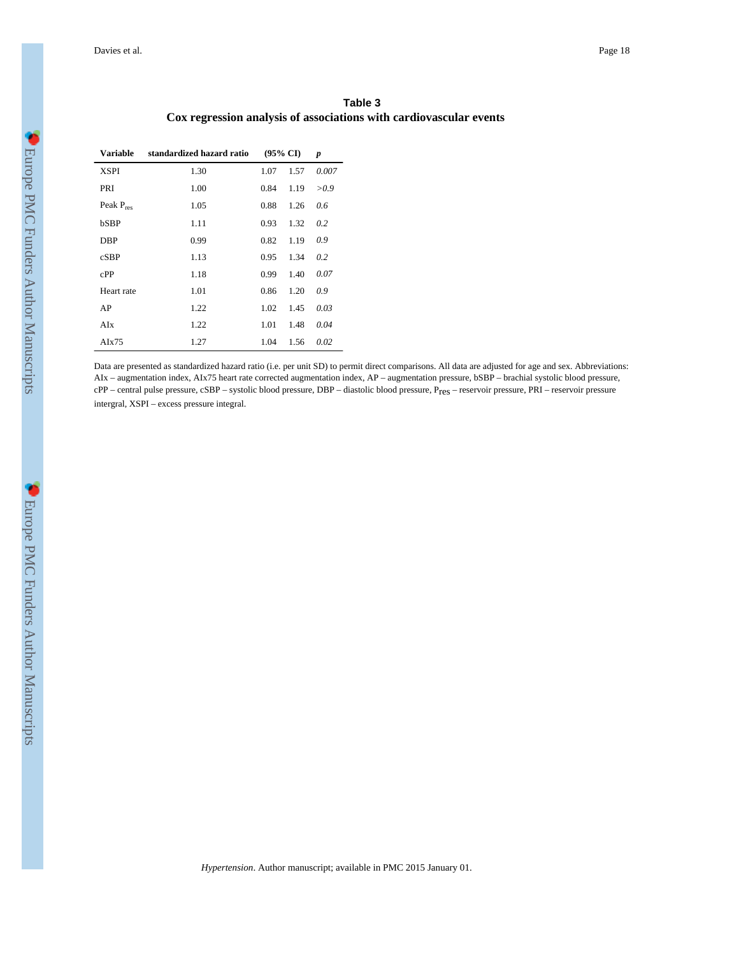| Table 3                                                            |  |
|--------------------------------------------------------------------|--|
| Cox regression analysis of associations with cardiovascular events |  |

| Variable       | standardized hazard ratio |      | $(95\% \text{ CI})$ | p     |
|----------------|---------------------------|------|---------------------|-------|
| <b>XSPI</b>    | 1.30                      | 1.07 | 1.57                | 0.007 |
| PRI            | 1.00                      | 0.84 | 1.19                | >0.9  |
| Peak $P_{res}$ | 1.05                      | 0.88 | 1.26                | 0.6   |
| bSBP           | 1.11                      | 0.93 | 1.32                | 0.2   |
| <b>DBP</b>     | 0.99                      | 0.82 | 1.19                | 0.9   |
| cSBP           | 1.13                      | 0.95 | 1.34                | 0.2   |
| cPP            | 1.18                      | 0.99 | 1.40                | 0.07  |
| Heart rate     | 1.01                      | 0.86 | 1.20                | 0.9   |
| AP             | 1.22                      | 1.02 | 1.45                | 0.03  |
| AIx            | 1.22                      | 1.01 | 1.48                | 0.04  |
| AIx75          | 1.27                      | 1.04 | 1.56                | 0.02  |

Data are presented as standardized hazard ratio (i.e. per unit SD) to permit direct comparisons. All data are adjusted for age and sex. Abbreviations: AIx – augmentation index, AIx75 heart rate corrected augmentation index, AP – augmentation pressure, bSBP – brachial systolic blood pressure, cPP – central pulse pressure, cSBP – systolic blood pressure, DBP – diastolic blood pressure, Pres – reservoir pressure, PRI – reservoir pressure intergral, XSPI – excess pressure integral.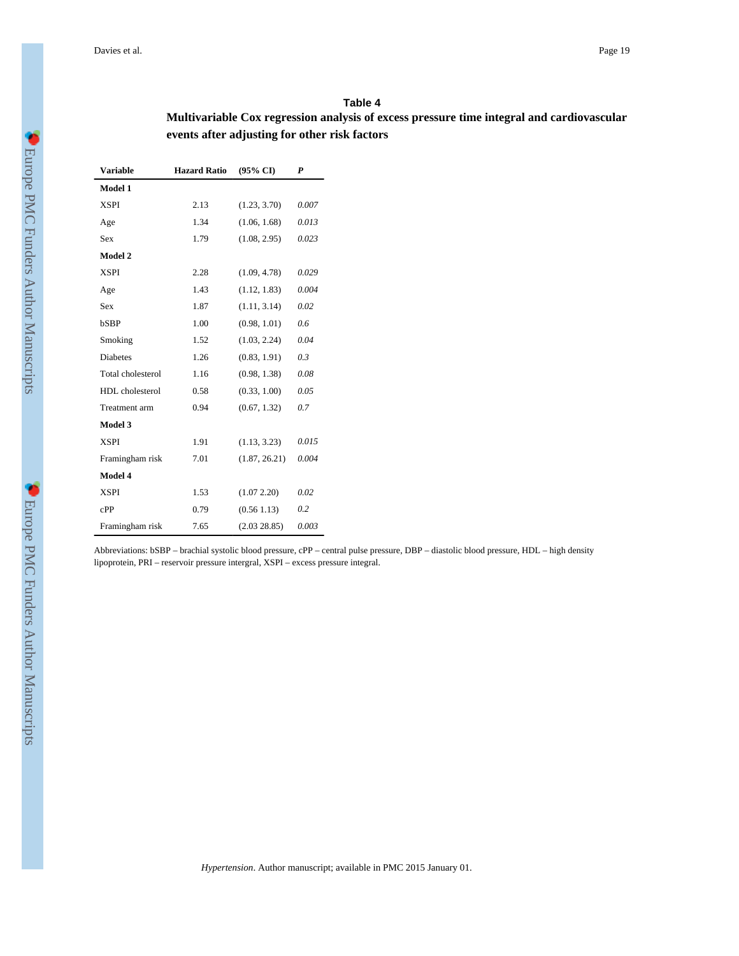#### **Table 4**

# **Multivariable Cox regression analysis of excess pressure time integral and cardiovascular events after adjusting for other risk factors**

| <b>Variable</b>   | <b>Hazard Ratio</b> | $(95\% \text{ CI})$ | P     |
|-------------------|---------------------|---------------------|-------|
| Model 1           |                     |                     |       |
| <b>XSPI</b>       | 2.13                | (1.23, 3.70)        | 0.007 |
| Age               | 1.34                | (1.06, 1.68)        | 0.013 |
| Sex               | 1.79                | (1.08, 2.95)        | 0.023 |
| Model 2           |                     |                     |       |
| <b>XSPI</b>       | 2.28                | (1.09, 4.78)        | 0.029 |
| Age               | 1.43                | (1.12, 1.83)        | 0.004 |
| Sex               | 1.87                | (1.11, 3.14)        | 0.02  |
| bSBP              | 1.00                | (0.98, 1.01)        | 0.6   |
| Smoking           | 1.52                | (1.03, 2.24)        | 0.04  |
| <b>Diabetes</b>   | 1.26                | (0.83, 1.91)        | 0.3   |
| Total cholesterol | 1.16                | (0.98, 1.38)        | 0.08  |
| HDL cholesterol   | 0.58                | (0.33, 1.00)        | 0.05  |
| Treatment arm     | 0.94                | (0.67, 1.32)        | 0.7   |
| Model 3           |                     |                     |       |
| <b>XSPI</b>       | 1.91                | (1.13, 3.23)        | 0.015 |
| Framingham risk   | 7.01                | (1.87, 26.21)       | 0.004 |
| Model 4           |                     |                     |       |
| <b>XSPI</b>       | 1.53                | (1.072.20)          | 0.02  |
| cPP               | 0.79                | (0.561.13)          | 0.2   |
| Framingham risk   | 7.65                | (2.03 28.85)        | 0.003 |

Abbreviations: bSBP – brachial systolic blood pressure, cPP – central pulse pressure, DBP – diastolic blood pressure, HDL – high density lipoprotein, PRI – reservoir pressure intergral, XSPI – excess pressure integral.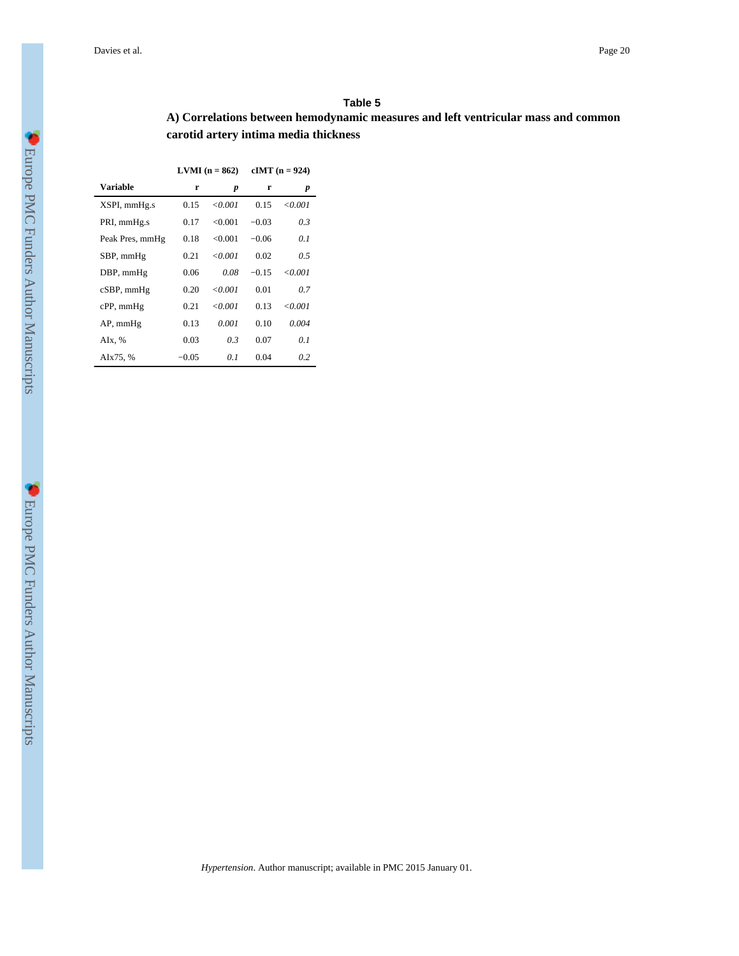#### **Table 5**

# **A) Correlations between hemodynamic measures and left ventricular mass and common carotid artery intima media thickness**

| $LVMI(n = 862)$ | $cIMT (n = 924)$ |
|-----------------|------------------|
|                 |                  |

| Variable        | r       | p      | r       | p       |
|-----------------|---------|--------|---------|---------|
| XSPI, mmHg.s    | 0.15    | <0.001 | 0.15    | <0.001  |
| PRI, mmHg.s     | 0.17    | <0.001 | $-0.03$ | 0.3     |
| Peak Pres, mmHg | 0.18    | <0.001 | $-0.06$ | 01      |
| SBP, mmHg       | 0.21    | <0.001 | 0.02    | 05      |
| DBP, mmHg       | 0.06    | 0.08   | $-0.15$ | < 0.001 |
| cSBP, mmHg      | 0.20    | <0.001 | 0.01    | 07      |
| $cPP$ , mm $Hg$ | 0.21    | <0.001 | 0.13    | <0.001  |
| $AP$ , mm $Hg$  | 0.13    | 0.001  | 0.10    | 0.004   |
| AIx, %          | 0.03    | 03     | 0.07    | 01      |
| AIx75, %        | $-0.05$ | 01     | 0.04    | 0.2     |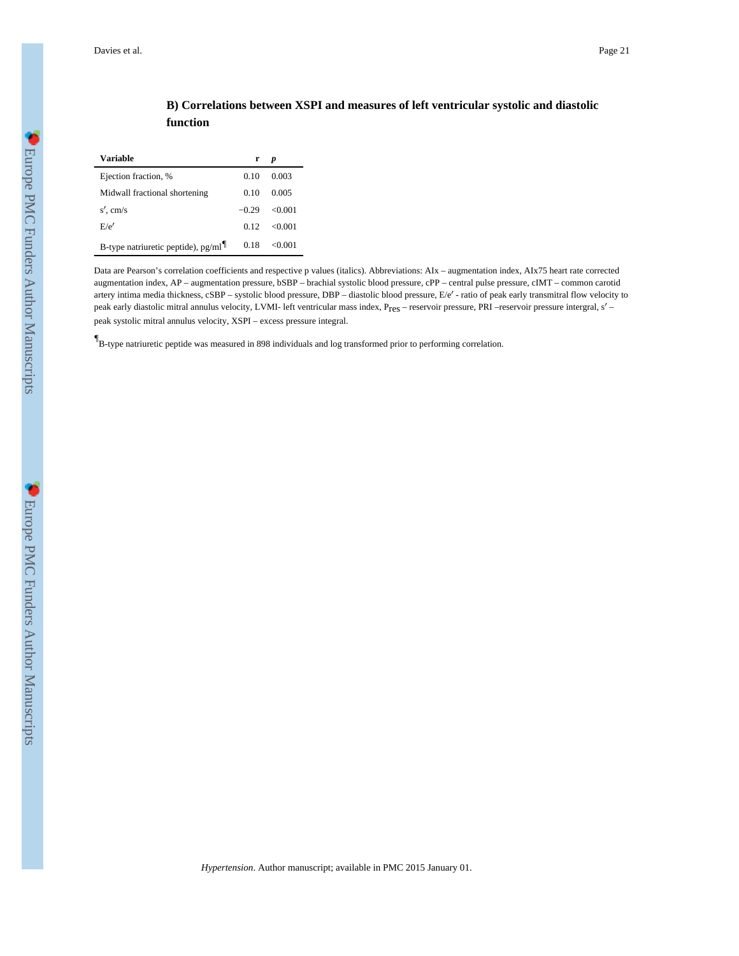# **B) Correlations between XSPI and measures of left ventricular systolic and diastolic function**

| Variable                             | r       | p       |
|--------------------------------------|---------|---------|
| Ejection fraction, %                 | 0.10    | 0.003   |
| Midwall fractional shortening        | 0.10    | 0.005   |
| $s'$ , cm/s                          | $-0.29$ | <0.001  |
| E/e'                                 | 0.12    | < 0.001 |
| B-type natriuretic peptide), $pg/ml$ | 0.18    | <0.001  |

Data are Pearson's correlation coefficients and respective p values (italics). Abbreviations: AIx – augmentation index, AIx75 heart rate corrected augmentation index, AP – augmentation pressure, bSBP – brachial systolic blood pressure, cPP – central pulse pressure, cIMT – common carotid artery intima media thickness, cSBP – systolic blood pressure, DBP – diastolic blood pressure, E/e′ - ratio of peak early transmitral flow velocity to peak early diastolic mitral annulus velocity, LVMI- left ventricular mass index, Pres – reservoir pressure, PRI –reservoir pressure intergral, s′ – peak systolic mitral annulus velocity, XSPI – excess pressure integral.

*¶* B-type natriuretic peptide was measured in 898 individuals and log transformed prior to performing correlation.